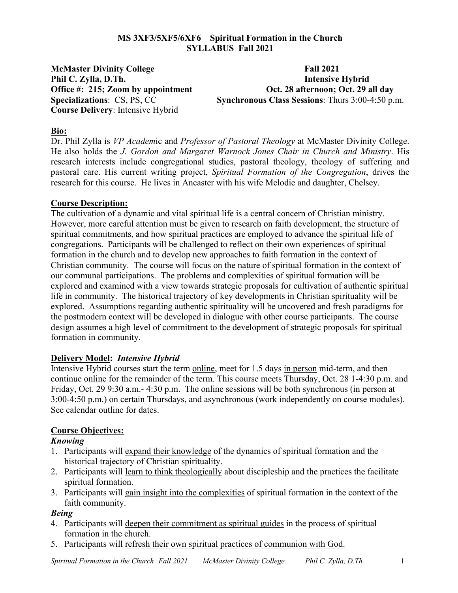### **MS 3XF3/5XF5/6XF6 Spiritual Formation in the Church SYLLABUS Fall 2021**

**McMaster Divinity College Fall 2021 Course Delivery**: Intensive Hybrid

**Phil C. Zylla, D.Th. Intensive Hybrid Office #: 215; Zoom by appointment Oct. 28 afternoon; Oct. 29 all day Specializations:** CS, PS, CC **Synchronous Class Sessions**: Thurs 3:00-4:50 p.m.

### **Bio:**

Dr. Phil Zylla is *VP Academ*ic and *Professor of Pastoral Theology* at McMaster Divinity College. He also holds the *J. Gordon and Margaret Warnock Jones Chair in Church and Ministry*. His research interests include congregational studies, pastoral theology, theology of suffering and pastoral care. His current writing project, *Spiritual Formation of the Congregation*, drives the research for this course. He lives in Ancaster with his wife Melodie and daughter, Chelsey.

### **Course Description:**

The cultivation of a dynamic and vital spiritual life is a central concern of Christian ministry. However, more careful attention must be given to research on faith development, the structure of spiritual commitments, and how spiritual practices are employed to advance the spiritual life of congregations. Participants will be challenged to reflect on their own experiences of spiritual formation in the church and to develop new approaches to faith formation in the context of Christian community. The course will focus on the nature of spiritual formation in the context of our communal participations. The problems and complexities of spiritual formation will be explored and examined with a view towards strategic proposals for cultivation of authentic spiritual life in community. The historical trajectory of key developments in Christian spirituality will be explored. Assumptions regarding authentic spirituality will be uncovered and fresh paradigms for the postmodern context will be developed in dialogue with other course participants. The course design assumes a high level of commitment to the development of strategic proposals for spiritual formation in community.

### **Delivery Model:** *Intensive Hybrid*

Intensive Hybrid courses start the term online, meet for 1.5 days in person mid-term, and then continue online for the remainder of the term. This course meets Thursday, Oct. 28 1-4:30 p.m. and Friday, Oct. 29 9:30 a.m.- 4:30 p.m. The online sessions will be both synchronous (in person at 3:00-4:50 p.m.) on certain Thursdays, and asynchronous (work independently on course modules). See calendar outline for dates.

### **Course Objectives:**

### *Knowing*

- 1. Participants will expand their knowledge of the dynamics of spiritual formation and the historical trajectory of Christian spirituality.
- 2. Participants will learn to think theologically about discipleship and the practices the facilitate spiritual formation.
- 3. Participants will gain insight into the complexities of spiritual formation in the context of the faith community.

### *Being*

- 4. Participants will deepen their commitment as spiritual guides in the process of spiritual formation in the church.
- 5. Participants will refresh their own spiritual practices of communion with God.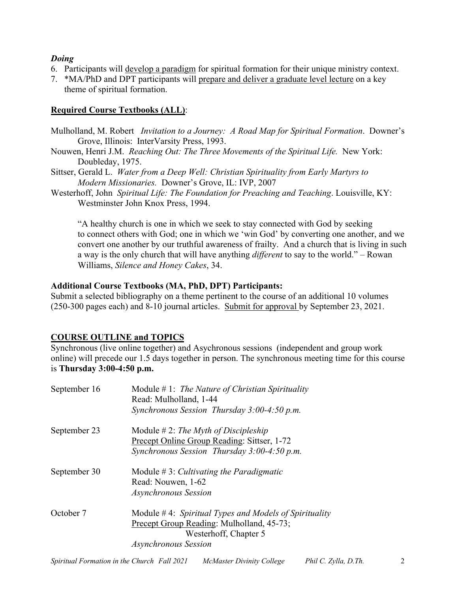### *Doing*

- 6. Participants will develop a paradigm for spiritual formation for their unique ministry context.
- 7. \*MA/PhD and DPT participants will prepare and deliver a graduate level lecture on a key theme of spiritual formation.

## **Required Course Textbooks (ALL)**:

Mulholland, M. Robert *Invitation to a Journey: A Road Map for Spiritual Formation*. Downer's Grove, Illinois: InterVarsity Press, 1993.

- Nouwen, Henri J.M. *Reaching Out: The Three Movements of the Spiritual Life.* New York: Doubleday, 1975.
- Sittser, Gerald L. *Water from a Deep Well: Christian Spirituality from Early Martyrs to Modern Missionaries.* Downer's Grove, IL: IVP, 2007
- Westerhoff, John *Spiritual Life: The Foundation for Preaching and Teaching*. Louisville, KY: Westminster John Knox Press, 1994.

"A healthy church is one in which we seek to stay connected with God by seeking to connect others with God; one in which we 'win God' by converting one another, and we convert one another by our truthful awareness of frailty. And a church that is living in such a way is the only church that will have anything *different* to say to the world." – Rowan Williams, *Silence and Honey Cakes*, 34.

## **Additional Course Textbooks (MA, PhD, DPT) Participants:**

Submit a selected bibliography on a theme pertinent to the course of an additional 10 volumes (250-300 pages each) and 8-10 journal articles. Submit for approval by September 23, 2021.

# **COURSE OUTLINE and TOPICS**

Synchronous (live online together) and Asychronous sessions (independent and group work online) will precede our 1.5 days together in person. The synchronous meeting time for this course is **Thursday 3:00-4:50 p.m.**

| September 16 | Module $# 1$ : The Nature of Christian Spirituality<br>Read: Mulholland, 1-44 |
|--------------|-------------------------------------------------------------------------------|
|              | Synchronous Session Thursday 3:00-4:50 p.m.                                   |
| September 23 | Module $\#$ 2: The Myth of Discipleship                                       |
|              | Precept Online Group Reading: Sittser, 1-72                                   |
|              | Synchronous Session Thursday 3:00-4:50 p.m.                                   |
| September 30 | Module $\# 3$ : Cultivating the Paradigmatic                                  |
|              | Read: Nouwen, 1-62                                                            |
|              | <b>Asynchronous Session</b>                                                   |
| October 7    | Module $#4$ : Spiritual Types and Models of Spirituality                      |
|              | Precept Group Reading: Mulholland, 45-73;                                     |
|              | Westerhoff, Chapter 5                                                         |
|              | <b>Asynchronous Session</b>                                                   |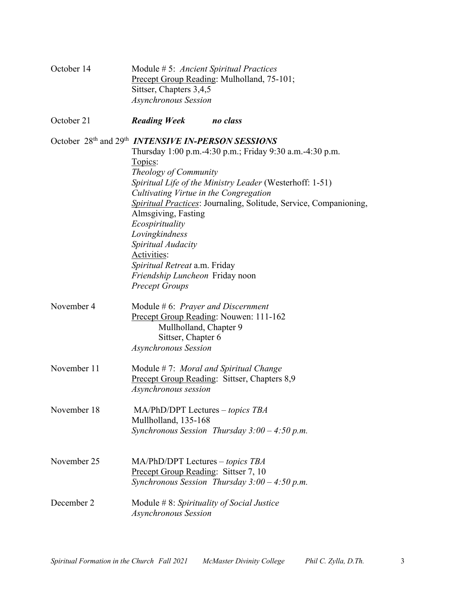| October 14  | Module # 5: Ancient Spiritual Practices<br>Precept Group Reading: Mulholland, 75-101;<br>Sittser, Chapters 3,4,5<br><b>Asynchronous Session</b>                                                                                                                                                                                                                                                                                                                                                                                           |  |
|-------------|-------------------------------------------------------------------------------------------------------------------------------------------------------------------------------------------------------------------------------------------------------------------------------------------------------------------------------------------------------------------------------------------------------------------------------------------------------------------------------------------------------------------------------------------|--|
| October 21  | <b>Reading Week</b><br>no class                                                                                                                                                                                                                                                                                                                                                                                                                                                                                                           |  |
|             | October 28th and 29th <i>INTENSIVE IN-PERSON SESSIONS</i><br>Thursday 1:00 p.m.-4:30 p.m.; Friday 9:30 a.m.-4:30 p.m.<br>Topics:<br>Theology of Community<br>Spiritual Life of the Ministry Leader (Westerhoff: 1-51)<br>Cultivating Virtue in the Congregation<br><b>Spiritual Practices: Journaling, Solitude, Service, Companioning,</b><br>Almsgiving, Fasting<br>Ecospirituality<br>Lovingkindness<br>Spiritual Audacity<br>Activities:<br>Spiritual Retreat a.m. Friday<br>Friendship Luncheon Friday noon<br><b>Precept Groups</b> |  |
| November 4  | Module #6: Prayer and Discernment<br>Precept Group Reading: Nouwen: 111-162<br>Mullholland, Chapter 9<br>Sittser, Chapter 6<br><b>Asynchronous Session</b>                                                                                                                                                                                                                                                                                                                                                                                |  |
| November 11 | Module #7: Moral and Spiritual Change<br>Precept Group Reading: Sittser, Chapters 8,9<br>Asynchronous session                                                                                                                                                                                                                                                                                                                                                                                                                             |  |
| November 18 | $MA/PhD/DPT$ Lectures – topics TBA<br>Mullholland, 135-168<br>Synchronous Session Thursday $3:00 - 4:50$ p.m.                                                                                                                                                                                                                                                                                                                                                                                                                             |  |
| November 25 | $MA/PhD/DPT$ Lectures – topics TBA<br>Precept Group Reading: Sittser 7, 10<br>Synchronous Session Thursday $3:00 - 4:50$ p.m.                                                                                                                                                                                                                                                                                                                                                                                                             |  |
| December 2  | Module $# 8$ : Spirituality of Social Justice<br>Asynchronous Session                                                                                                                                                                                                                                                                                                                                                                                                                                                                     |  |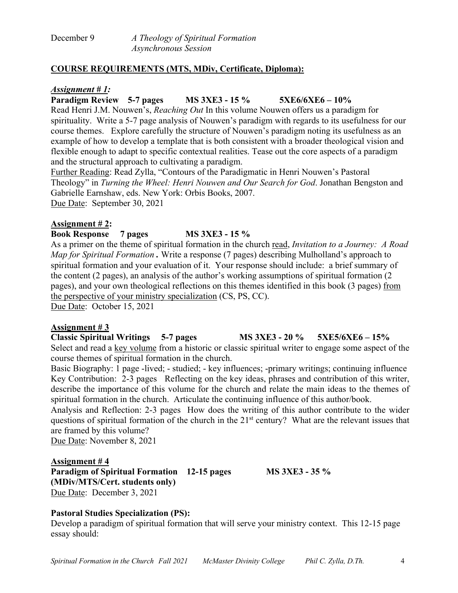| December 9 | A Theology of Spiritual Formation |
|------------|-----------------------------------|
|            | <i>Asynchronous Session</i>       |

### **COURSE REQUIREMENTS (MTS, MDiv, Certificate, Diploma):**

#### *Assignment # 1:*

**Paradigm Review 5-7 pages MS 3XE3 - 15 % 5XE6/6XE6 – 10%**

Read Henri J.M. Nouwen's, *Reaching Out* In this volume Nouwen offers us a paradigm for spirituality. Write a 5-7 page analysis of Nouwen's paradigm with regards to its usefulness for our course themes. Explore carefully the structure of Nouwen's paradigm noting its usefulness as an example of how to develop a template that is both consistent with a broader theological vision and flexible enough to adapt to specific contextual realities. Tease out the core aspects of a paradigm and the structural approach to cultivating a paradigm.

Further Reading: Read Zylla, "Contours of the Paradigmatic in Henri Nouwen's Pastoral Theology" in *Turning the Wheel: Henri Nouwen and Our Search for God*. Jonathan Bengston and Gabrielle Earnshaw, eds. New York: Orbis Books, 2007. Due Date: September 30, 2021

## **Assignment # 2:**

## **Book Response 7 pages MS 3XE3 - 15 %**

As a primer on the theme of spiritual formation in the church read, *Invitation to a Journey: A Road Map for Spiritual Formation .* Write a response (7 pages) describing Mulholland's approach to spiritual formation and your evaluation of it. Your response should include: a brief summary of the content (2 pages), an analysis of the author's working assumptions of spiritual formation (2 pages), and your own theological reflections on this themes identified in this book (3 pages) from the perspective of your ministry specialization (CS, PS, CC). Due Date: October 15, 2021

### **Assignment # 3**

**Classic Spiritual Writings 5-7 pages MS 3XE3 - 20 % 5XE5/6XE6 – 15%** Select and read a key volume from a historic or classic spiritual writer to engage some aspect of the course themes of spiritual formation in the church.

Basic Biography: 1 page -lived; - studied; - key influences; -primary writings; continuing influence Key Contribution: 2-3 pages Reflecting on the key ideas, phrases and contribution of this writer, describe the importance of this volume for the church and relate the main ideas to the themes of spiritual formation in the church. Articulate the continuing influence of this author/book.

Analysis and Reflection: 2-3 pages How does the writing of this author contribute to the wider questions of spiritual formation of the church in the 21<sup>st</sup> century? What are the relevant issues that are framed by this volume?

Due Date: November 8, 2021

### **Assignment # 4**

**Paradigm of Spiritual Formation 12-15 pages MS 3XE3 - 35 % (MDiv/MTS/Cert. students only)** Due Date: December 3, 2021

### **Pastoral Studies Specialization (PS):**

Develop a paradigm of spiritual formation that will serve your ministry context. This 12-15 page essay should: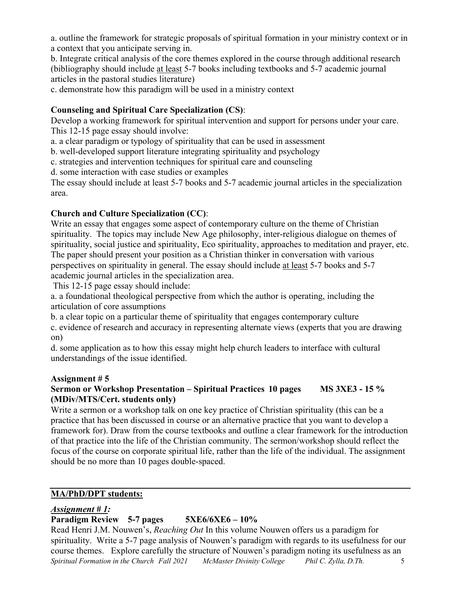a. outline the framework for strategic proposals of spiritual formation in your ministry context or in a context that you anticipate serving in.

b. Integrate critical analysis of the core themes explored in the course through additional research (bibliography should include at least 5-7 books including textbooks and 5-7 academic journal articles in the pastoral studies literature)

c. demonstrate how this paradigm will be used in a ministry context

## **Counseling and Spiritual Care Specialization (CS)**:

Develop a working framework for spiritual intervention and support for persons under your care. This 12-15 page essay should involve:

a. a clear paradigm or typology of spirituality that can be used in assessment

b. well-developed support literature integrating spirituality and psychology

c. strategies and intervention techniques for spiritual care and counseling

d. some interaction with case studies or examples

The essay should include at least 5-7 books and 5-7 academic journal articles in the specialization area.

## **Church and Culture Specialization (CC)**:

Write an essay that engages some aspect of contemporary culture on the theme of Christian spirituality. The topics may include New Age philosophy, inter-religious dialogue on themes of spirituality, social justice and spirituality, Eco spirituality, approaches to meditation and prayer, etc. The paper should present your position as a Christian thinker in conversation with various perspectives on spirituality in general. The essay should include at least 5-7 books and 5-7 academic journal articles in the specialization area.

This 12-15 page essay should include:

a. a foundational theological perspective from which the author is operating, including the articulation of core assumptions

b. a clear topic on a particular theme of spirituality that engages contemporary culture c. evidence of research and accuracy in representing alternate views (experts that you are drawing on)

d. some application as to how this essay might help church leaders to interface with cultural understandings of the issue identified.

### **Assignment # 5**

## **Sermon or Workshop Presentation – Spiritual Practices 10 pages MS 3XE3 - 15 % (MDiv/MTS/Cert. students only)**

Write a sermon or a workshop talk on one key practice of Christian spirituality (this can be a practice that has been discussed in course or an alternative practice that you want to develop a framework for). Draw from the course textbooks and outline a clear framework for the introduction of that practice into the life of the Christian community. The sermon/workshop should reflect the focus of the course on corporate spiritual life, rather than the life of the individual. The assignment should be no more than 10 pages double-spaced.

## **MA/PhD/DPT students:**

## *Assignment # 1:*

# **Paradigm Review 5-7 pages 5XE6/6XE6 – 10%**

*Spiritual Formation in the Church Fall 2021 McMaster Divinity College Phil C. Zylla, D.Th.* 5 Read Henri J.M. Nouwen's, *Reaching Out* In this volume Nouwen offers us a paradigm for spirituality. Write a 5-7 page analysis of Nouwen's paradigm with regards to its usefulness for our course themes. Explore carefully the structure of Nouwen's paradigm noting its usefulness as an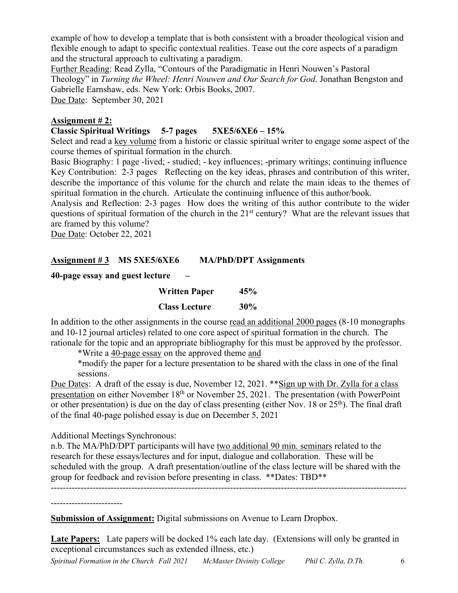example of how to develop a template that is both consistent with a broader theological vision and flexible enough to adapt to specific contextual realities. Tease out the core aspects of a paradigm and the structural approach to cultivating a paradigm.

Further Reading: Read Zylla, "Contours of the Paradigmatic in Henri Nouwen's Pastoral Theology" in *Turning the Wheel: Henri Nouwen and Our Search for God*. Jonathan Bengston and Gabrielle Earnshaw, eds. New York: Orbis Books, 2007. Due Date: September 30, 2021

#### **Assignment # 2:**

### **Classic Spiritual Writings 5-7 pages 5XE5/6XE6 – 15%**

Select and read a key volume from a historic or classic spiritual writer to engage some aspect of the course themes of spiritual formation in the church.

Basic Biography: 1 page -lived; - studied; - key influences; -primary writings; continuing influence Key Contribution: 2-3 pages Reflecting on the key ideas, phrases and contribution of this writer, describe the importance of this volume for the church and relate the main ideas to the themes of spiritual formation in the church. Articulate the continuing influence of this author/book.

Analysis and Reflection: 2-3 pages How does the writing of this author contribute to the wider questions of spiritual formation of the church in the 21<sup>st</sup> century? What are the relevant issues that are framed by this volume?

Due Date: October 22, 2021

### **Assignment # 3 MS 5XE5/6XE6 MA/PhD/DPT Assignments**

### **40-page essay and guest lecture –**

| <b>Written Paper</b> | 45%    |
|----------------------|--------|
| <b>Class Lecture</b> | $30\%$ |

In addition to the other assignments in the course read an additional 2000 pages (8-10 monographs and 10-12 journal articles) related to one core aspect of spiritual formation in the church. The rationale for the topic and an appropriate bibliography for this must be approved by the professor.

\*Write a 40-page essay on the approved theme and

\*modify the paper for a lecture presentation to be shared with the class in one of the final sessions.

Due Dates: A draft of the essay is due, November 12, 2021. \*\* Sign up with Dr. Zylla for a class presentation on either November 18<sup>th</sup> or November 25, 2021. The presentation (with PowerPoint or other presentation) is due on the day of class presenting (either Nov. 18 or  $25<sup>th</sup>$ ). The final draft of the final 40-page polished essay is due on December 5, 2021

Additional Meetings Synchronous:

n.b. The MA/PhD/DPT participants will have two additional 90 min. seminars related to the research for these essays/lectures and for input, dialogue and collaboration. These will be scheduled with the group. A draft presentation/outline of the class lecture will be shared with the group for feedback and revision before presenting in class. \*\*Dates: TBD\*\* -----------------------------------------------------------------------------------------------------------------------

------------------------

**Submission of Assignment:** Digital submissions on Avenue to Learn Dropbox.

**Late Papers:** Late papers will be docked 1% each late day. (Extensions will only be granted in exceptional circumstances such as extended illness, etc.)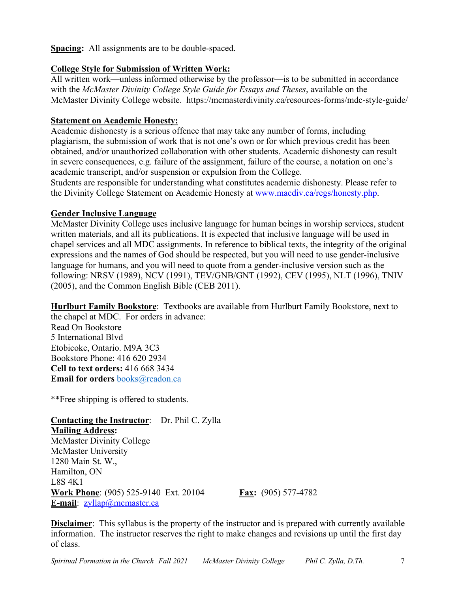**Spacing:** All assignments are to be double-spaced.

### **College Style for Submission of Written Work:**

All written work—unless informed otherwise by the professor—is to be submitted in accordance with the *McMaster Divinity College Style Guide for Essays and Theses*, available on the McMaster Divinity College website. https://mcmasterdivinity.ca/resources-forms/mdc-style-guide/

### **Statement on Academic Honesty:**

Academic dishonesty is a serious offence that may take any number of forms, including plagiarism, the submission of work that is not one's own or for which previous credit has been obtained, and/or unauthorized collaboration with other students. Academic dishonesty can result in severe consequences, e.g. failure of the assignment, failure of the course, a notation on one's academic transcript, and/or suspension or expulsion from the College.

Students are responsible for understanding what constitutes academic dishonesty. Please refer to the Divinity College Statement on Academic Honesty at www.macdiv.ca/regs/honesty.php.

### **Gender Inclusive Language**

McMaster Divinity College uses inclusive language for human beings in worship services, student written materials, and all its publications. It is expected that inclusive language will be used in chapel services and all MDC assignments. In reference to biblical texts, the integrity of the original expressions and the names of God should be respected, but you will need to use gender-inclusive language for humans, and you will need to quote from a gender-inclusive version such as the following: NRSV (1989), NCV (1991), TEV/GNB/GNT (1992), CEV (1995), NLT (1996), TNIV (2005), and the Common English Bible (CEB 2011).

**Hurlburt Family Bookstore**: Textbooks are available from Hurlburt Family Bookstore, next to the chapel at MDC. For orders in advance:

Read On Bookstore 5 International Blvd Etobicoke, Ontario. M9A 3C3 Bookstore Phone: 416 620 2934 **Cell to text orders:** 416 668 3434 **Email for orders** books@readon.ca

\*\*Free shipping is offered to students.

**Contacting the Instructor**: Dr. Phil C. Zylla **Mailing Address:** McMaster Divinity College McMaster University 1280 Main St. W., Hamilton, ON L8S 4K1 **Work Phone**: (905) 525-9140 Ext. 20104 **Fax:** (905) 577-4782 **E-mail**: zyllap@mcmaster.ca

**Disclaimer**: This syllabus is the property of the instructor and is prepared with currently available information. The instructor reserves the right to make changes and revisions up until the first day of class.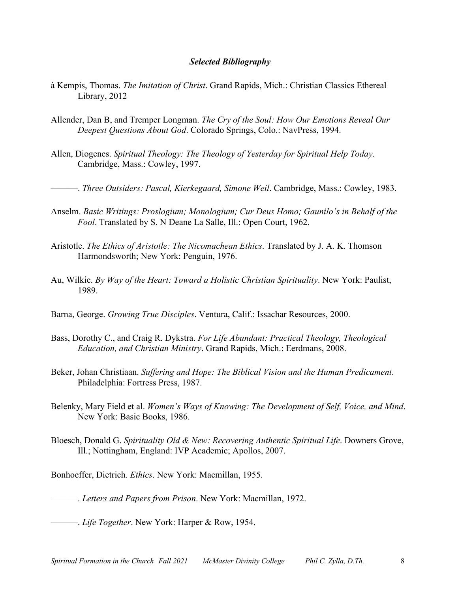#### *Selected Bibliography*

- à Kempis, Thomas. *The Imitation of Christ*. Grand Rapids, Mich.: Christian Classics Ethereal Library, 2012
- Allender, Dan B, and Tremper Longman. *The Cry of the Soul: How Our Emotions Reveal Our Deepest Questions About God*. Colorado Springs, Colo.: NavPress, 1994.
- Allen, Diogenes. *Spiritual Theology: The Theology of Yesterday for Spiritual Help Today*. Cambridge, Mass.: Cowley, 1997.

———. *Three Outsiders: Pascal, Kierkegaard, Simone Weil*. Cambridge, Mass.: Cowley, 1983.

- Anselm. *Basic Writings: Proslogium; Monologium; Cur Deus Homo; Gaunilo's in Behalf of the Fool*. Translated by S. N Deane La Salle, Ill.: Open Court, 1962.
- Aristotle. *The Ethics of Aristotle: The Nicomachean Ethics*. Translated by J. A. K. Thomson Harmondsworth; New York: Penguin, 1976.
- Au, Wilkie. *By Way of the Heart: Toward a Holistic Christian Spirituality*. New York: Paulist, 1989.
- Barna, George. *Growing True Disciples*. Ventura, Calif.: Issachar Resources, 2000.
- Bass, Dorothy C., and Craig R. Dykstra. *For Life Abundant: Practical Theology, Theological Education, and Christian Ministry*. Grand Rapids, Mich.: Eerdmans, 2008.
- Beker, Johan Christiaan. *Suffering and Hope: The Biblical Vision and the Human Predicament*. Philadelphia: Fortress Press, 1987.
- Belenky, Mary Field et al. *Women's Ways of Knowing: The Development of Self, Voice, and Mind*. New York: Basic Books, 1986.
- Bloesch, Donald G. *Spirituality Old & New: Recovering Authentic Spiritual Life*. Downers Grove, Ill.; Nottingham, England: IVP Academic; Apollos, 2007.

Bonhoeffer, Dietrich. *Ethics*. New York: Macmillan, 1955.

———. *Letters and Papers from Prison*. New York: Macmillan, 1972.

———. *Life Together*. New York: Harper & Row, 1954.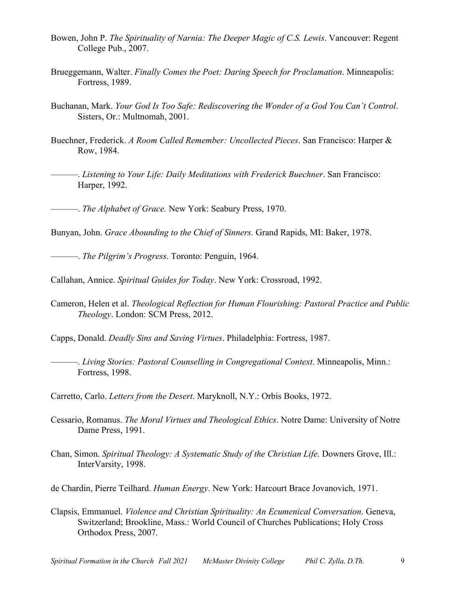- Bowen, John P. *The Spirituality of Narnia: The Deeper Magic of C.S. Lewis*. Vancouver: Regent College Pub., 2007.
- Brueggemann, Walter. *Finally Comes the Poet: Daring Speech for Proclamation*. Minneapolis: Fortress, 1989.
- Buchanan, Mark. *Your God Is Too Safe: Rediscovering the Wonder of a God You Can't Control*. Sisters, Or.: Multnomah, 2001.
- Buechner, Frederick. *A Room Called Remember: Uncollected Pieces*. San Francisco: Harper & Row, 1984.
	- ———. *Listening to Your Life: Daily Meditations with Frederick Buechner*. San Francisco: Harper, 1992.

———. *The Alphabet of Grace.* New York: Seabury Press, 1970.

Bunyan, John. *Grace Abounding to the Chief of Sinners*. Grand Rapids, MI: Baker, 1978.

———. *The Pilgrim's Progress*. Toronto: Penguin, 1964.

Callahan, Annice. *Spiritual Guides for Today*. New York: Crossroad, 1992.

Cameron, Helen et al. *Theological Reflection for Human Flourishing: Pastoral Practice and Public Theology*. London: SCM Press, 2012.

Capps, Donald. *Deadly Sins and Saving Virtues*. Philadelphia: Fortress, 1987.

———. *Living Stories: Pastoral Counselling in Congregational Context*. Minneapolis, Minn.: Fortress, 1998.

Carretto, Carlo. *Letters from the Desert*. Maryknoll, N.Y.: Orbis Books, 1972.

- Cessario, Romanus. *The Moral Virtues and Theological Ethics*. Notre Dame: University of Notre Dame Press, 1991.
- Chan, Simon. *Spiritual Theology: A Systematic Study of the Christian Life*. Downers Grove, Ill.: InterVarsity, 1998.

de Chardin, Pierre Teilhard. *Human Energy*. New York: Harcourt Brace Jovanovich, 1971.

Clapsis, Emmanuel. *Violence and Christian Spirituality: An Ecumenical Conversation*. Geneva, Switzerland; Brookline, Mass.: World Council of Churches Publications; Holy Cross Orthodox Press, 2007.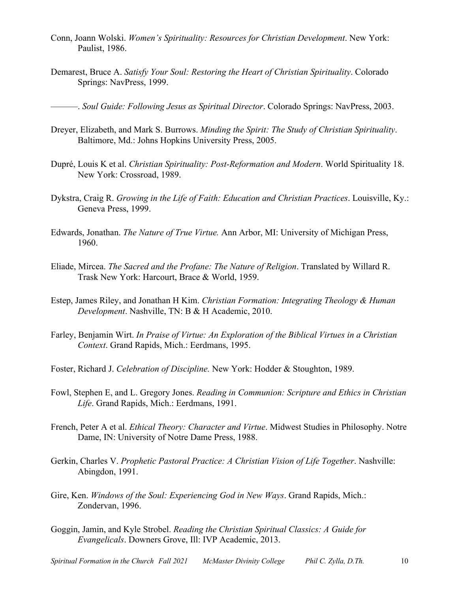- Conn, Joann Wolski. *Women's Spirituality: Resources for Christian Development*. New York: Paulist, 1986.
- Demarest, Bruce A. *Satisfy Your Soul: Restoring the Heart of Christian Spirituality*. Colorado Springs: NavPress, 1999.

———. *Soul Guide: Following Jesus as Spiritual Director*. Colorado Springs: NavPress, 2003.

- Dreyer, Elizabeth, and Mark S. Burrows. *Minding the Spirit: The Study of Christian Spirituality*. Baltimore, Md.: Johns Hopkins University Press, 2005.
- Dupré, Louis K et al. *Christian Spirituality: Post-Reformation and Modern*. World Spirituality 18. New York: Crossroad, 1989.
- Dykstra, Craig R. *Growing in the Life of Faith: Education and Christian Practices*. Louisville, Ky.: Geneva Press, 1999.
- Edwards, Jonathan. *The Nature of True Virtue.* Ann Arbor, MI: University of Michigan Press, 1960.
- Eliade, Mircea. *The Sacred and the Profane: The Nature of Religion*. Translated by Willard R. Trask New York: Harcourt, Brace & World, 1959.
- Estep, James Riley, and Jonathan H Kim. *Christian Formation: Integrating Theology & Human Development*. Nashville, TN: B & H Academic, 2010.
- Farley, Benjamin Wirt. *In Praise of Virtue: An Exploration of the Biblical Virtues in a Christian Context*. Grand Rapids, Mich.: Eerdmans, 1995.
- Foster, Richard J. *Celebration of Discipline.* New York: Hodder & Stoughton, 1989.
- Fowl, Stephen E, and L. Gregory Jones. *Reading in Communion: Scripture and Ethics in Christian Life*. Grand Rapids, Mich.: Eerdmans, 1991.
- French, Peter A et al. *Ethical Theory: Character and Virtue*. Midwest Studies in Philosophy. Notre Dame, IN: University of Notre Dame Press, 1988.
- Gerkin, Charles V. *Prophetic Pastoral Practice: A Christian Vision of Life Together*. Nashville: Abingdon, 1991.
- Gire, Ken. *Windows of the Soul: Experiencing God in New Ways*. Grand Rapids, Mich.: Zondervan, 1996.
- Goggin, Jamin, and Kyle Strobel. *Reading the Christian Spiritual Classics: A Guide for Evangelicals*. Downers Grove, Ill: IVP Academic, 2013.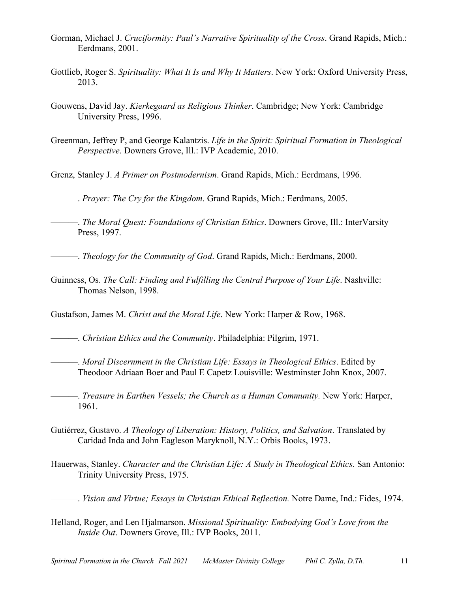- Gorman, Michael J. *Cruciformity: Paul's Narrative Spirituality of the Cross*. Grand Rapids, Mich.: Eerdmans, 2001.
- Gottlieb, Roger S. *Spirituality: What It Is and Why It Matters*. New York: Oxford University Press, 2013.
- Gouwens, David Jay. *Kierkegaard as Religious Thinker*. Cambridge; New York: Cambridge University Press, 1996.
- Greenman, Jeffrey P, and George Kalantzis. *Life in the Spirit: Spiritual Formation in Theological Perspective*. Downers Grove, Ill.: IVP Academic, 2010.
- Grenz, Stanley J. *A Primer on Postmodernism*. Grand Rapids, Mich.: Eerdmans, 1996.
- ———. *Prayer: The Cry for the Kingdom*. Grand Rapids, Mich.: Eerdmans, 2005.
- ———. *The Moral Quest: Foundations of Christian Ethics*. Downers Grove, Ill.: InterVarsity Press, 1997.
- ———. *Theology for the Community of God*. Grand Rapids, Mich.: Eerdmans, 2000.
- Guinness, Os. *The Call: Finding and Fulfilling the Central Purpose of Your Life*. Nashville: Thomas Nelson, 1998.

Gustafson, James M. *Christ and the Moral Life*. New York: Harper & Row, 1968.

———. *Christian Ethics and the Community*. Philadelphia: Pilgrim, 1971.

- ———. *Moral Discernment in the Christian Life: Essays in Theological Ethics*. Edited by Theodoor Adriaan Boer and Paul E Capetz Louisville: Westminster John Knox, 2007.
- ———. *Treasure in Earthen Vessels; the Church as a Human Community.* New York: Harper, 1961.
- Gutiérrez, Gustavo. *A Theology of Liberation: History, Politics, and Salvation*. Translated by Caridad Inda and John Eagleson Maryknoll, N.Y.: Orbis Books, 1973.
- Hauerwas, Stanley. *Character and the Christian Life: A Study in Theological Ethics*. San Antonio: Trinity University Press, 1975.

———. *Vision and Virtue; Essays in Christian Ethical Reflection.* Notre Dame, Ind.: Fides, 1974.

Helland, Roger, and Len Hjalmarson. *Missional Spirituality: Embodying God's Love from the Inside Out*. Downers Grove, Ill.: IVP Books, 2011.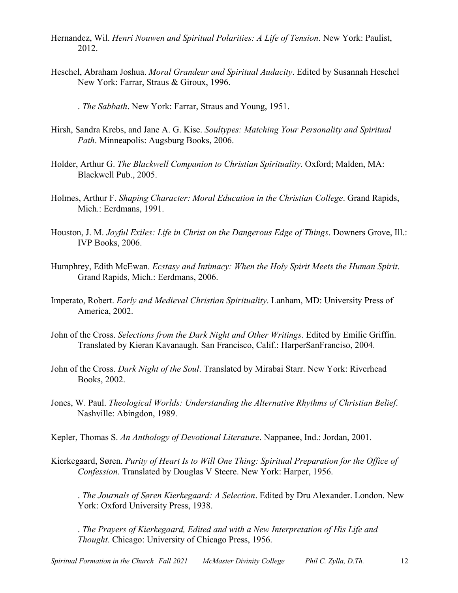- Hernandez, Wil. *Henri Nouwen and Spiritual Polarities: A Life of Tension*. New York: Paulist, 2012.
- Heschel, Abraham Joshua. *Moral Grandeur and Spiritual Audacity*. Edited by Susannah Heschel New York: Farrar, Straus & Giroux, 1996.
- ———. *The Sabbath*. New York: Farrar, Straus and Young, 1951.
- Hirsh, Sandra Krebs, and Jane A. G. Kise. *Soultypes: Matching Your Personality and Spiritual Path*. Minneapolis: Augsburg Books, 2006.
- Holder, Arthur G. *The Blackwell Companion to Christian Spirituality*. Oxford; Malden, MA: Blackwell Pub., 2005.
- Holmes, Arthur F. *Shaping Character: Moral Education in the Christian College*. Grand Rapids, Mich.: Eerdmans, 1991.
- Houston, J. M. *Joyful Exiles: Life in Christ on the Dangerous Edge of Things*. Downers Grove, Ill.: IVP Books, 2006.
- Humphrey, Edith McEwan. *Ecstasy and Intimacy: When the Holy Spirit Meets the Human Spirit*. Grand Rapids, Mich.: Eerdmans, 2006.
- Imperato, Robert. *Early and Medieval Christian Spirituality*. Lanham, MD: University Press of America, 2002.
- John of the Cross. *Selections from the Dark Night and Other Writings*. Edited by Emilie Griffin. Translated by Kieran Kavanaugh. San Francisco, Calif.: HarperSanFranciso, 2004.
- John of the Cross. *Dark Night of the Soul*. Translated by Mirabai Starr. New York: Riverhead Books, 2002.
- Jones, W. Paul. *Theological Worlds: Understanding the Alternative Rhythms of Christian Belief*. Nashville: Abingdon, 1989.
- Kepler, Thomas S. *An Anthology of Devotional Literature*. Nappanee, Ind.: Jordan, 2001.
- Kierkegaard, Søren. *Purity of Heart Is to Will One Thing: Spiritual Preparation for the Office of Confession*. Translated by Douglas V Steere. New York: Harper, 1956.
- ———. *The Journals of Søren Kierkegaard: A Selection*. Edited by Dru Alexander. London. New York: Oxford University Press, 1938.
	- ———. *The Prayers of Kierkegaard, Edited and with a New Interpretation of His Life and Thought*. Chicago: University of Chicago Press, 1956.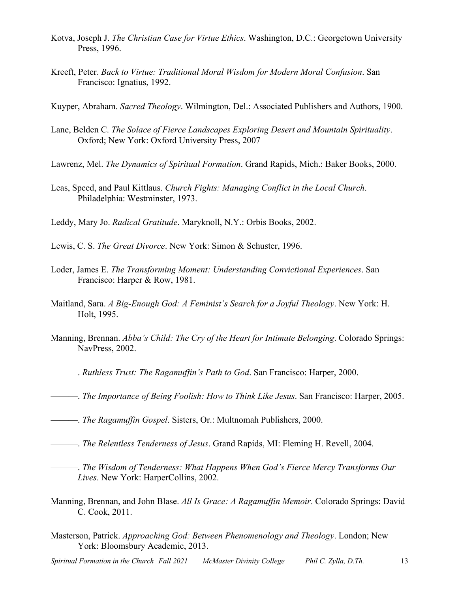- Kotva, Joseph J. *The Christian Case for Virtue Ethics*. Washington, D.C.: Georgetown University Press, 1996.
- Kreeft, Peter. *Back to Virtue: Traditional Moral Wisdom for Modern Moral Confusion*. San Francisco: Ignatius, 1992.

Kuyper, Abraham. *Sacred Theology*. Wilmington, Del.: Associated Publishers and Authors, 1900.

- Lane, Belden C. *The Solace of Fierce Landscapes Exploring Desert and Mountain Spirituality*. Oxford; New York: Oxford University Press, 2007
- Lawrenz, Mel. *The Dynamics of Spiritual Formation*. Grand Rapids, Mich.: Baker Books, 2000.
- Leas, Speed, and Paul Kittlaus. *Church Fights: Managing Conflict in the Local Church*. Philadelphia: Westminster, 1973.

Leddy, Mary Jo. *Radical Gratitude*. Maryknoll, N.Y.: Orbis Books, 2002.

Lewis, C. S. *The Great Divorce*. New York: Simon & Schuster, 1996.

- Loder, James E. *The Transforming Moment: Understanding Convictional Experiences*. San Francisco: Harper & Row, 1981.
- Maitland, Sara. *A Big-Enough God: A Feminist's Search for a Joyful Theology*. New York: H. Holt, 1995.
- Manning, Brennan. *Abba's Child: The Cry of the Heart for Intimate Belonging*. Colorado Springs: NavPress, 2002.
- ———. *Ruthless Trust: The Ragamuffin's Path to God*. San Francisco: Harper, 2000.
- ———. *The Importance of Being Foolish: How to Think Like Jesus*. San Francisco: Harper, 2005.
- ———. *The Ragamuffin Gospel*. Sisters, Or.: Multnomah Publishers, 2000.
- ———. *The Relentless Tenderness of Jesus*. Grand Rapids, MI: Fleming H. Revell, 2004.
- ———. *The Wisdom of Tenderness: What Happens When God's Fierce Mercy Transforms Our Lives*. New York: HarperCollins, 2002.
- Manning, Brennan, and John Blase. *All Is Grace: A Ragamuffin Memoir*. Colorado Springs: David C. Cook, 2011.
- Masterson, Patrick. *Approaching God: Between Phenomenology and Theology*. London; New York: Bloomsbury Academic, 2013.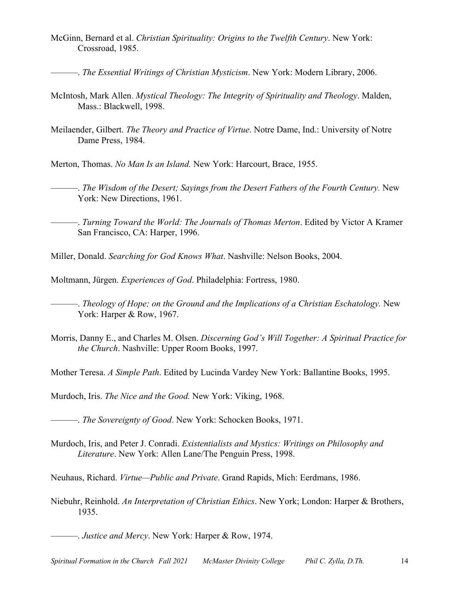- McGinn, Bernard et al. *Christian Spirituality: Origins to the Twelfth Century*. New York: Crossroad, 1985.
- ———. *The Essential Writings of Christian Mysticism*. New York: Modern Library, 2006.
- McIntosh, Mark Allen. *Mystical Theology: The Integrity of Spirituality and Theology*. Malden, Mass.: Blackwell, 1998.
- Meilaender, Gilbert. *The Theory and Practice of Virtue*. Notre Dame, Ind.: University of Notre Dame Press, 1984.

Merton, Thomas. *No Man Is an Island.* New York: Harcourt, Brace, 1955.

———. *The Wisdom of the Desert; Sayings from the Desert Fathers of the Fourth Century.* New York: New Directions, 1961.

———. *Turning Toward the World: The Journals of Thomas Merton*. Edited by Victor A Kramer San Francisco, CA: Harper, 1996.

Miller, Donald. *Searching for God Knows What*. Nashville: Nelson Books, 2004.

Moltmann, Jürgen. *Experiences of God*. Philadelphia: Fortress, 1980.

———. *Theology of Hope; on the Ground and the Implications of a Christian Eschatology.* New York: Harper & Row, 1967.

Morris, Danny E., and Charles M. Olsen. *Discerning God's Will Together: A Spiritual Practice for the Church*. Nashville: Upper Room Books, 1997.

Mother Teresa. *A Simple Path*. Edited by Lucinda Vardey New York: Ballantine Books, 1995.

Murdoch, Iris. *The Nice and the Good.* New York: Viking, 1968.

———. *The Sovereignty of Good*. New York: Schocken Books, 1971.

Murdoch, Iris, and Peter J. Conradi. *Existentialists and Mystics: Writings on Philosophy and Literature*. New York: Allen Lane/The Penguin Press, 1998.

Neuhaus, Richard. *Virtue—Public and Private*. Grand Rapids, Mich: Eerdmans, 1986.

Niebuhr, Reinhold. *An Interpretation of Christian Ethics*. New York; London: Harper & Brothers, 1935.

———. *Justice and Mercy*. New York: Harper & Row, 1974.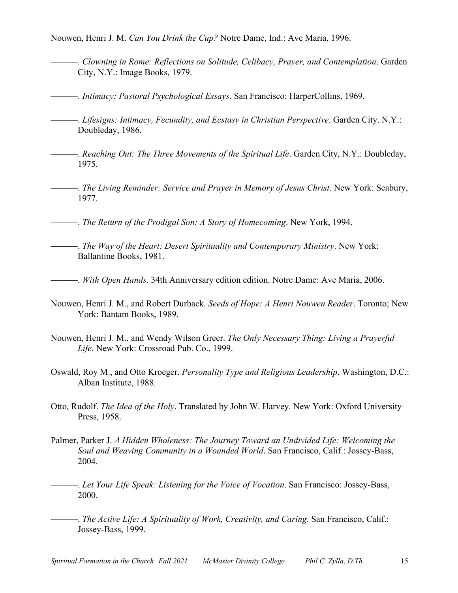Nouwen, Henri J. M. *Can You Drink the Cup?* Notre Dame, Ind.: Ave Maria, 1996.

- ———. *Clowning in Rome: Reflections on Solitude, Celibacy, Prayer, and Contemplation*. Garden City, N.Y.: Image Books, 1979.
- ———. *Intimacy: Pastoral Psychological Essays*. San Francisco: HarperCollins, 1969.
- ———. *Lifesigns: Intimacy, Fecundity, and Ecstasy in Christian Perspective*. Garden City. N.Y.: Doubleday, 1986.
	- ———. *Reaching Out: The Three Movements of the Spiritual Life*. Garden City, N.Y.: Doubleday, 1975.
- ———. *The Living Reminder: Service and Prayer in Memory of Jesus Christ*. New York: Seabury, 1977.
- ———. *The Return of the Prodigal Son: A Story of Homecoming*. New York, 1994.
- ———. *The Way of the Heart: Desert Spirituality and Contemporary Ministry*. New York: Ballantine Books, 1981.
- ———. *With Open Hands*. 34th Anniversary edition edition. Notre Dame: Ave Maria, 2006.
- Nouwen, Henri J. M., and Robert Durback. *Seeds of Hope: A Henri Nouwen Reader*. Toronto; New York: Bantam Books, 1989.
- Nouwen, Henri J. M., and Wendy Wilson Greer. *The Only Necessary Thing: Living a Prayerful Life*. New York: Crossroad Pub. Co., 1999.
- Oswald, Roy M., and Otto Kroeger. *Personality Type and Religious Leadership*. Washington, D.C.: Alban Institute, 1988.
- Otto, Rudolf. *The Idea of the Holy*. Translated by John W. Harvey. New York: Oxford University Press, 1958.
- Palmer, Parker J. *A Hidden Wholeness: The Journey Toward an Undivided Life: Welcoming the Soul and Weaving Community in a Wounded World*. San Francisco, Calif.: Jossey-Bass, 2004.
- ———. *Let Your Life Speak: Listening for the Voice of Vocation*. San Francisco: Jossey-Bass, 2000.
- ———. *The Active Life: A Spirituality of Work, Creativity, and Caring*. San Francisco, Calif.: Jossey-Bass, 1999.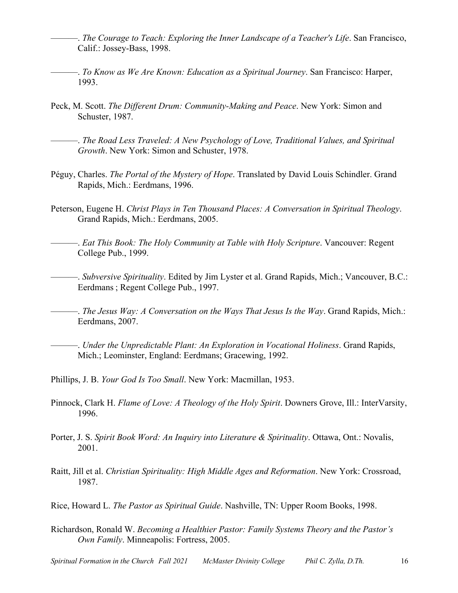- ———. *The Courage to Teach: Exploring the Inner Landscape of a Teacher's Life*. San Francisco, Calif.: Jossey-Bass, 1998.
- ———. *To Know as We Are Known: Education as a Spiritual Journey*. San Francisco: Harper, 1993.
- Peck, M. Scott. *The Different Drum: Community-Making and Peace*. New York: Simon and Schuster, 1987.
- ———. *The Road Less Traveled: A New Psychology of Love, Traditional Values, and Spiritual Growth*. New York: Simon and Schuster, 1978.
- Péguy, Charles. *The Portal of the Mystery of Hope*. Translated by David Louis Schindler. Grand Rapids, Mich.: Eerdmans, 1996.
- Peterson, Eugene H. *Christ Plays in Ten Thousand Places: A Conversation in Spiritual Theology*. Grand Rapids, Mich.: Eerdmans, 2005.
- -. *Eat This Book: The Holy Community at Table with Holy Scripture*. Vancouver: Regent College Pub., 1999.
	- ———. *Subversive Spirituality*. Edited by Jim Lyster et al. Grand Rapids, Mich.; Vancouver, B.C.: Eerdmans ; Regent College Pub., 1997.

———. *The Jesus Way: A Conversation on the Ways That Jesus Is the Way*. Grand Rapids, Mich.: Eerdmans, 2007.

———. *Under the Unpredictable Plant: An Exploration in Vocational Holiness*. Grand Rapids, Mich.; Leominster, England: Eerdmans; Gracewing, 1992.

Phillips, J. B. *Your God Is Too Small*. New York: Macmillan, 1953.

- Pinnock, Clark H. *Flame of Love: A Theology of the Holy Spirit*. Downers Grove, Ill.: InterVarsity, 1996.
- Porter, J. S. *Spirit Book Word: An Inquiry into Literature & Spirituality*. Ottawa, Ont.: Novalis, 2001.
- Raitt, Jill et al. *Christian Spirituality: High Middle Ages and Reformation*. New York: Crossroad, 1987.

Rice, Howard L. *The Pastor as Spiritual Guide*. Nashville, TN: Upper Room Books, 1998.

Richardson, Ronald W. *Becoming a Healthier Pastor: Family Systems Theory and the Pastor's Own Family*. Minneapolis: Fortress, 2005.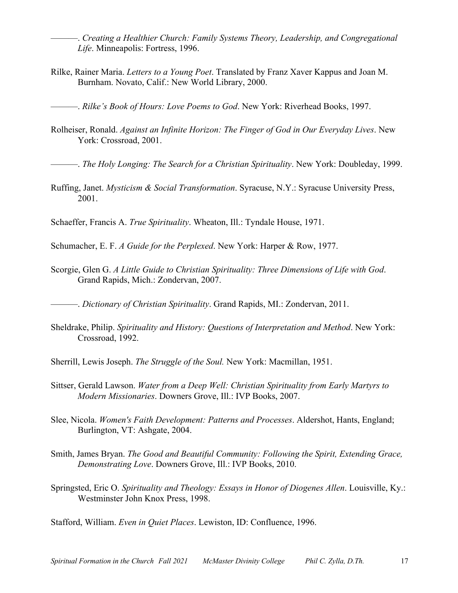———. *Creating a Healthier Church: Family Systems Theory, Leadership, and Congregational Life*. Minneapolis: Fortress, 1996.

Rilke, Rainer Maria. *Letters to a Young Poet*. Translated by Franz Xaver Kappus and Joan M. Burnham. Novato, Calif.: New World Library, 2000.

———. *Rilke's Book of Hours: Love Poems to God*. New York: Riverhead Books, 1997.

Rolheiser, Ronald. *Against an Infinite Horizon: The Finger of God in Our Everyday Lives*. New York: Crossroad, 2001.

———. *The Holy Longing: The Search for a Christian Spirituality*. New York: Doubleday, 1999.

Ruffing, Janet. *Mysticism & Social Transformation*. Syracuse, N.Y.: Syracuse University Press, 2001.

Schaeffer, Francis A. *True Spirituality*. Wheaton, Ill.: Tyndale House, 1971.

Schumacher, E. F. *A Guide for the Perplexed*. New York: Harper & Row, 1977.

Scorgie, Glen G. *A Little Guide to Christian Spirituality: Three Dimensions of Life with God*. Grand Rapids, Mich.: Zondervan, 2007.

———. *Dictionary of Christian Spirituality*. Grand Rapids, MI.: Zondervan, 2011.

- Sheldrake, Philip. *Spirituality and History: Questions of Interpretation and Method*. New York: Crossroad, 1992.
- Sherrill, Lewis Joseph. *The Struggle of the Soul.* New York: Macmillan, 1951.
- Sittser, Gerald Lawson. *Water from a Deep Well: Christian Spirituality from Early Martyrs to Modern Missionaries*. Downers Grove, Ill.: IVP Books, 2007.
- Slee, Nicola. *Women's Faith Development: Patterns and Processes*. Aldershot, Hants, England; Burlington, VT: Ashgate, 2004.
- Smith, James Bryan. *The Good and Beautiful Community: Following the Spirit, Extending Grace, Demonstrating Love*. Downers Grove, Ill.: IVP Books, 2010.
- Springsted, Eric O. *Spirituality and Theology: Essays in Honor of Diogenes Allen*. Louisville, Ky.: Westminster John Knox Press, 1998.

Stafford, William. *Even in Quiet Places*. Lewiston, ID: Confluence, 1996.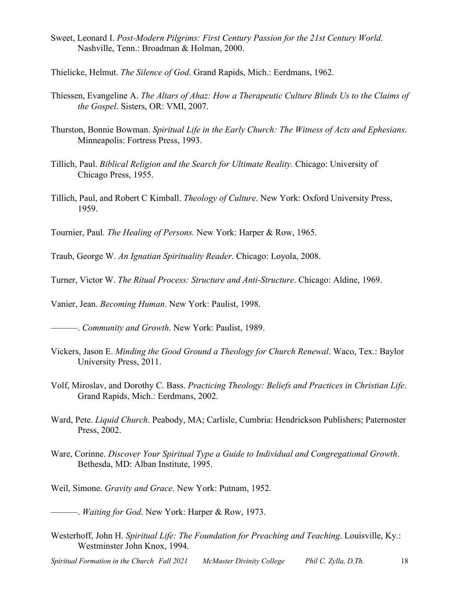- Sweet, Leonard I. *Post-Modern Pilgrims: First Century Passion for the 21st Century World*. Nashville, Tenn.: Broadman & Holman, 2000.
- Thielicke, Helmut. *The Silence of God*. Grand Rapids, Mich.: Eerdmans, 1962.
- Thiessen, Evangeline A. *The Altars of Ahaz: How a Therapeutic Culture Blinds Us to the Claims of the Gospel*. Sisters, OR: VMI, 2007.
- Thurston, Bonnie Bowman. *Spiritual Life in the Early Church: The Witness of Acts and Ephesians*. Minneapolis: Fortress Press, 1993.
- Tillich, Paul. *Biblical Religion and the Search for Ultimate Reality.* Chicago: University of Chicago Press, 1955.
- Tillich, Paul, and Robert C Kimball. *Theology of Culture*. New York: Oxford University Press, 1959.

Tournier, Paul. *The Healing of Persons.* New York: Harper & Row, 1965.

Traub, George W. *An Ignatian Spirituality Reader*. Chicago: Loyola, 2008.

Turner, Victor W. *The Ritual Process: Structure and Anti-Structure*. Chicago: Aldine, 1969.

Vanier, Jean. *Becoming Human*. New York: Paulist, 1998.

———. *Community and Growth*. New York: Paulist, 1989.

- Vickers, Jason E. *Minding the Good Ground a Theology for Church Renewal*. Waco, Tex.: Baylor University Press, 2011.
- Volf, Miroslav, and Dorothy C. Bass. *Practicing Theology: Beliefs and Practices in Christian Life*. Grand Rapids, Mich.: Eerdmans, 2002.
- Ward, Pete. *Liquid Church*. Peabody, MA; Carlisle, Cumbria: Hendrickson Publishers; Paternoster Press, 2002.
- Ware, Corinne. *Discover Your Spiritual Type a Guide to Individual and Congregational Growth*. Bethesda, MD: Alban Institute, 1995.
- Weil, Simone. *Gravity and Grace*. New York: Putnam, 1952.

———. *Waiting for God*. New York: Harper & Row, 1973.

Westerhoff, John H. *Spiritual Life: The Foundation for Preaching and Teaching*. Louisville, Ky.: Westminster John Knox, 1994.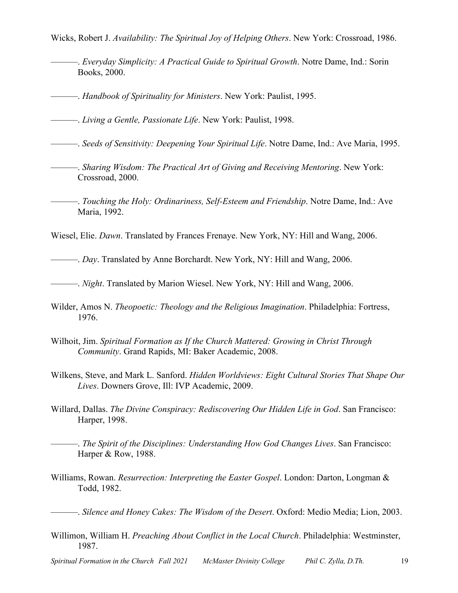Wicks, Robert J. *Availability: The Spiritual Joy of Helping Others*. New York: Crossroad, 1986.

- ———. *Everyday Simplicity: A Practical Guide to Spiritual Growth*. Notre Dame, Ind.: Sorin Books, 2000.
- ———. *Handbook of Spirituality for Ministers*. New York: Paulist, 1995.

———. *Living a Gentle, Passionate Life*. New York: Paulist, 1998.

- ———. *Seeds of Sensitivity: Deepening Your Spiritual Life*. Notre Dame, Ind.: Ave Maria, 1995.
- ———. *Sharing Wisdom: The Practical Art of Giving and Receiving Mentoring*. New York: Crossroad, 2000.
- ———. *Touching the Holy: Ordinariness, Self-Esteem and Friendship*. Notre Dame, Ind.: Ave Maria, 1992.

Wiesel, Elie. *Dawn*. Translated by Frances Frenaye. New York, NY: Hill and Wang, 2006.

———. *Day*. Translated by Anne Borchardt. New York, NY: Hill and Wang, 2006.

- ———. *Night*. Translated by Marion Wiesel. New York, NY: Hill and Wang, 2006.
- Wilder, Amos N. *Theopoetic: Theology and the Religious Imagination*. Philadelphia: Fortress, 1976.
- Wilhoit, Jim. *Spiritual Formation as If the Church Mattered: Growing in Christ Through Community*. Grand Rapids, MI: Baker Academic, 2008.
- Wilkens, Steve, and Mark L. Sanford. *Hidden Worldviews: Eight Cultural Stories That Shape Our Lives*. Downers Grove, Ill: IVP Academic, 2009.
- Willard, Dallas. *The Divine Conspiracy: Rediscovering Our Hidden Life in God*. San Francisco: Harper, 1998.
	- ———. *The Spirit of the Disciplines: Understanding How God Changes Lives*. San Francisco: Harper & Row, 1988.
- Williams, Rowan. *Resurrection: Interpreting the Easter Gospel*. London: Darton, Longman & Todd, 1982.

———. *Silence and Honey Cakes: The Wisdom of the Desert*. Oxford: Medio Media; Lion, 2003.

Willimon, William H. *Preaching About Conflict in the Local Church*. Philadelphia: Westminster, 1987.